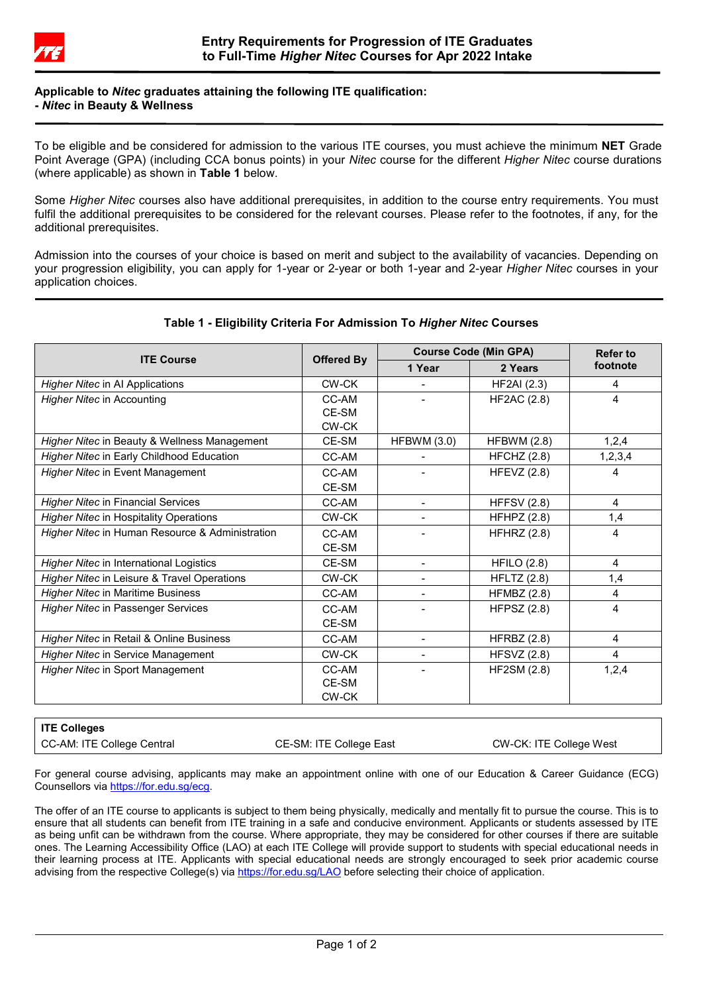

### **Applicable to** *Nitec* **graduates attaining the following ITE qualification: -** *Nitec* **in Beauty & Wellness**

To be eligible and be considered for admission to the various ITE courses, you must achieve the minimum **NET** Grade Point Average (GPA) (including CCA bonus points) in your *Nitec* course for the different *Higher Nitec* course durations (where applicable) as shown in **Table 1** below.

Some *Higher Nitec* courses also have additional prerequisites, in addition to the course entry requirements. You must fulfil the additional prerequisites to be considered for the relevant courses. Please refer to the footnotes, if any, for the additional prerequisites.

Admission into the courses of your choice is based on merit and subject to the availability of vacancies. Depending on your progression eligibility, you can apply for 1-year or 2-year or both 1-year and 2-year *Higher Nitec* courses in your application choices.

| <b>ITE Course</b>                               | <b>Offered By</b>              | <b>Course Code (Min GPA)</b> |                    | <b>Refer to</b> |
|-------------------------------------------------|--------------------------------|------------------------------|--------------------|-----------------|
|                                                 |                                | 1 Year                       | 2 Years            | footnote        |
| Higher Nitec in Al Applications                 | CW-CK                          |                              | <b>HF2AI</b> (2.3) | 4               |
| Higher Nitec in Accounting                      | CC-AM<br>CE-SM<br><b>CW-CK</b> |                              | <b>HF2AC (2.8)</b> | 4               |
| Higher Nitec in Beauty & Wellness Management    | CE-SM                          | <b>HFBWM (3.0)</b>           | <b>HFBWM (2.8)</b> | 1,2,4           |
| Higher Nitec in Early Childhood Education       | CC-AM                          |                              | HFCHZ (2.8)        | 1,2,3,4         |
| <b>Higher Nitec in Event Management</b>         | CC-AM<br>CE-SM                 |                              | HFEVZ $(2.8)$      | 4               |
| <b>Higher Nitec in Financial Services</b>       | CC-AM                          | $\overline{\phantom{0}}$     | <b>HFFSV (2.8)</b> | 4               |
| <b>Higher Nitec in Hospitality Operations</b>   | CW-CK                          |                              | HFHPZ $(2.8)$      | 1,4             |
| Higher Nitec in Human Resource & Administration | CC-AM<br>CE-SM                 |                              | <b>HFHRZ (2.8)</b> | 4               |
| <b>Higher Nitec in International Logistics</b>  | CE-SM                          | $\blacksquare$               | <b>HFILO (2.8)</b> | 4               |
| Higher Nitec in Leisure & Travel Operations     | CW-CK                          |                              | <b>HFLTZ</b> (2.8) | 1,4             |
| <b>Higher Nitec in Maritime Business</b>        | CC-AM                          |                              | <b>HFMBZ (2.8)</b> | 4               |
| <b>Higher Nitec in Passenger Services</b>       | CC-AM<br>CE-SM                 |                              | <b>HFPSZ (2.8)</b> | 4               |
| Higher Nitec in Retail & Online Business        | CC-AM                          | $\blacksquare$               | HFRBZ $(2.8)$      | 4               |
| <b>Higher Nitec in Service Management</b>       | CW-CK                          |                              | <b>HFSVZ (2.8)</b> | 4               |
| Higher Nitec in Sport Management                | CC-AM<br>CE-SM<br><b>CW-CK</b> |                              | <b>HF2SM (2.8)</b> | 1,2,4           |

# **Table 1 - Eligibility Criteria For Admission To** *Higher Nitec* **Courses**

| ITE Colleges               |                         |                         |
|----------------------------|-------------------------|-------------------------|
| CC-AM: ITE College Central | CE-SM: ITE College East | CW-CK: ITE College West |

For general course advising, applicants may make an appointment online with one of our Education & Career Guidance (ECG) Counsellors vi[a https://for.edu.sg/ecg.](https://for.edu.sg/ecg)

The offer of an ITE course to applicants is subject to them being physically, medically and mentally fit to pursue the course. This is to ensure that all students can benefit from ITE training in a safe and conducive environment. Applicants or students assessed by ITE as being unfit can be withdrawn from the course. Where appropriate, they may be considered for other courses if there are suitable ones. The Learning Accessibility Office (LAO) at each ITE College will provide support to students with special educational needs in their learning process at ITE. Applicants with special educational needs are strongly encouraged to seek prior academic course advising from the respective College(s) vi[a https://for.edu.sg/LAO](https://for.edu.sg/LAO) before selecting their choice of application.